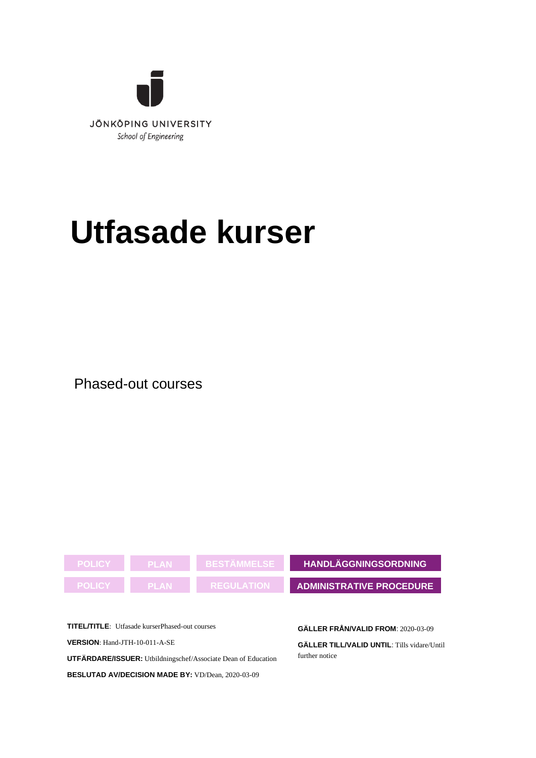

# **Utfasade kurser**

Phased-out courses



**TITEL/TITLE**: Utfasade kurserPhased-out courses **VERSION**: Hand-JTH-10-011-A-SE **UTFÄRDARE/ISSUER:** Utbildningschef/Associate Dean of Education

**BESLUTAD AV/DECISION MADE BY:** VD/Dean, 2020-03-09

**GÄLLER FRÅN/VALID FROM**: 2020-03-09

**GÄLLER TILL/VALID UNTIL**: Tills vidare/Until further notice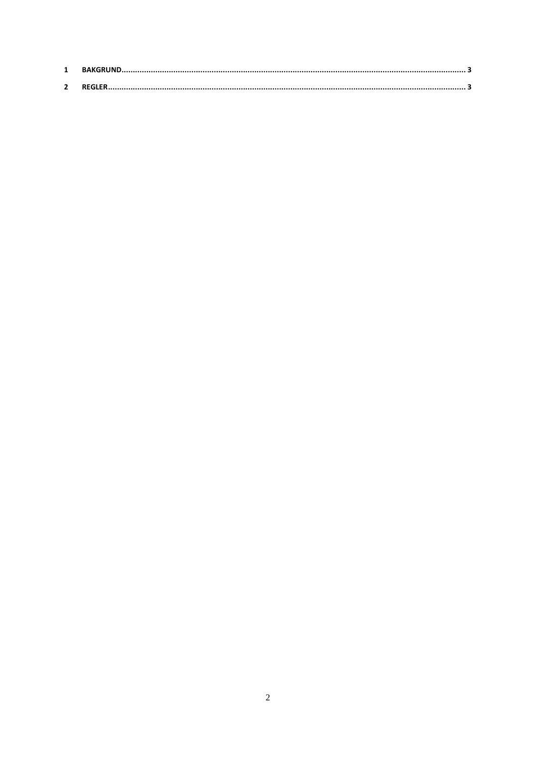| $\mathbf{z}$ |  |
|--------------|--|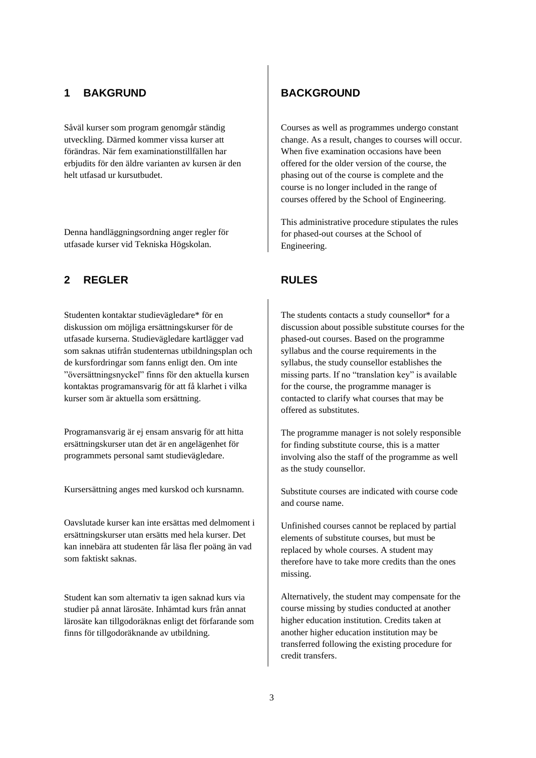## 1 **BAKGRUND BACKGROUND**

Såväl kurser som program genomgår ständig utveckling. Därmed kommer vissa kurser att förändras. När fem examinationstillfällen har erbjudits för den äldre varianten av kursen är den helt utfasad ur kursutbudet.

Denna handläggningsordning anger regler för utfasade kurser vid Tekniska Högskolan.

## **2 REGLER RULES**

Studenten kontaktar studievägledare\* för en diskussion om möjliga ersättningskurser för de utfasade kurserna. Studievägledare kartlägger vad som saknas utifrån studenternas utbildningsplan och de kursfordringar som fanns enligt den. Om inte "översättningsnyckel" finns för den aktuella kursen kontaktas programansvarig för att få klarhet i vilka kurser som är aktuella som ersättning.

Programansvarig är ej ensam ansvarig för att hitta ersättningskurser utan det är en angelägenhet för programmets personal samt studievägledare.

Kursersättning anges med kurskod och kursnamn.

Oavslutade kurser kan inte ersättas med delmoment i ersättningskurser utan ersätts med hela kurser. Det kan innebära att studenten får läsa fler poäng än vad som faktiskt saknas.

Student kan som alternativ ta igen saknad kurs via studier på annat lärosäte. Inhämtad kurs från annat lärosäte kan tillgodoräknas enligt det förfarande som finns för tillgodoräknande av utbildning.

Courses as well as programmes undergo constant change. As a result, changes to courses will occur. When five examination occasions have been offered for the older version of the course, the phasing out of the course is complete and the course is no longer included in the range of courses offered by the School of Engineering.

This administrative procedure stipulates the rules for phased-out courses at the School of Engineering.

The students contacts a study counsellor\* for a discussion about possible substitute courses for the phased-out courses. Based on the programme syllabus and the course requirements in the syllabus, the study counsellor establishes the missing parts. If no "translation key" is available for the course, the programme manager is contacted to clarify what courses that may be offered as substitutes.

The programme manager is not solely responsible for finding substitute course, this is a matter involving also the staff of the programme as well as the study counsellor.

Substitute courses are indicated with course code and course name.

Unfinished courses cannot be replaced by partial elements of substitute courses, but must be replaced by whole courses. A student may therefore have to take more credits than the ones missing.

Alternatively, the student may compensate for the course missing by studies conducted at another higher education institution. Credits taken at another higher education institution may be transferred following the existing procedure for credit transfers.